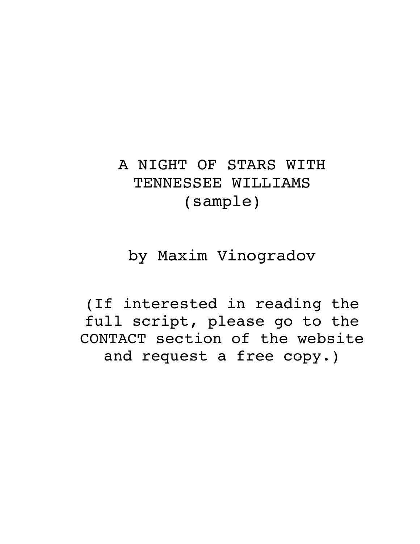# A NIGHT OF STARS WITH TENNESSEE WILLIAMS (sample)

by Maxim Vinogradov

(If interested in reading the full script, please go to the CONTACT section of the website and request a free copy.)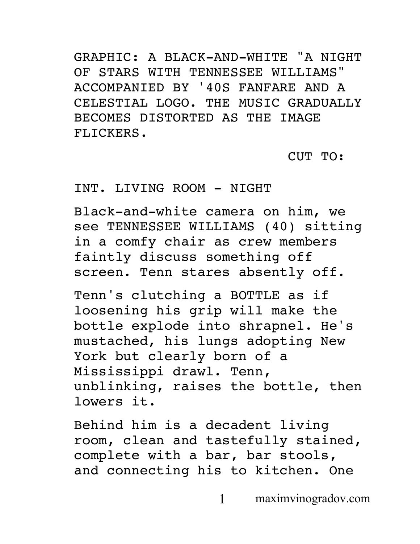GRAPHIC: A BLACK-AND-WHITE "A NIGHT OF STARS WITH TENNESSEE WILLIAMS" ACCOMPANIED BY '40S FANFARE AND A CELESTIAL LOGO. THE MUSIC GRADUALLY BECOMES DISTORTED AS THE IMAGE FLICKERS.

CUT TO:

# INT. LIVING ROOM - NIGHT

Black-and-white camera on him, we see TENNESSEE WILLIAMS (40) sitting in a comfy chair as crew members faintly discuss something off screen. Tenn stares absently off.

Tenn's clutching a BOTTLE as if loosening his grip will make the bottle explode into shrapnel. He's mustached, his lungs adopting New York but clearly born of a Mississippi drawl. Tenn, unblinking, raises the bottle, then lowers it.

Behind him is a decadent living room, clean and tastefully stained, complete with a bar, bar stools, and connecting his to kitchen. One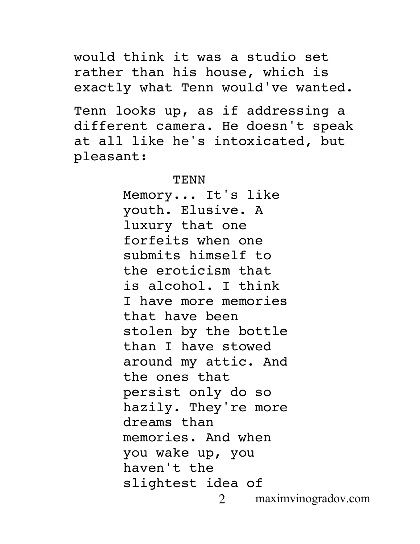would think it was a studio set rather than his house, which is exactly what Tenn would've wanted.

Tenn looks up, as if addressing a different camera. He doesn't speak at all like he's intoxicated, but pleasant:

#### TENN

2 maximvinogradov.com Memory... It's like youth. Elusive. A luxury that one forfeits when one submits himself to the eroticism that is alcohol. I think I have more memories that have been stolen by the bottle than I have stowed around my attic. And the ones that persist only do so hazily. They're more dreams than memories. And when you wake up, you haven't the slightest idea of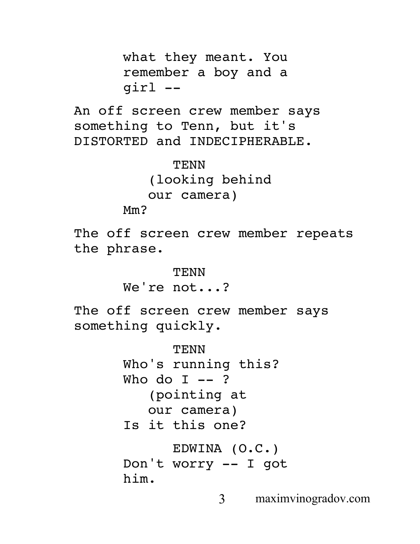what they meant. You remember a boy and a girl --

An off screen crew member says something to Tenn, but it's DISTORTED and INDECIPHERABLE.

```
TENN
(looking behind 
our camera)
```
Mm?

The off screen crew member repeats the phrase.

> **TENN** We're not...?

The off screen crew member says something quickly.

> TENN Who's running this? Who do  $I$  -- ? (pointing at our camera) Is it this one? EDWINA (O.C.)

```
Don't worry -- I got 
him.
```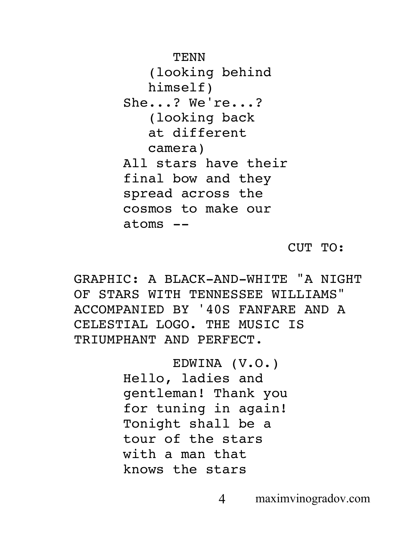TENN (looking behind himself) She...? We're...? (looking back at different camera) All stars have their final bow and they spread across the cosmos to make our atoms --

CUT TO:

GRAPHIC: A BLACK-AND-WHITE "A NIGHT OF STARS WITH TENNESSEE WILLIAMS" ACCOMPANIED BY '40S FANFARE AND A CELESTIAL LOGO. THE MUSIC IS TRIUMPHANT AND PERFECT.

> EDWINA (V.O.) Hello, ladies and gentleman! Thank you for tuning in again! Tonight shall be a tour of the stars with a man that knows the stars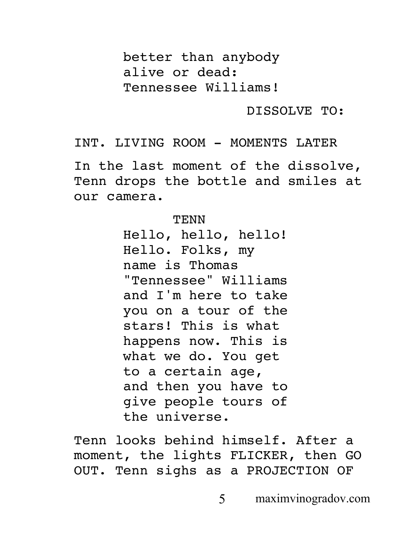better than anybody alive or dead: Tennessee Williams!

DISSOLVE TO:

INT. LIVING ROOM - MOMENTS LATER

In the last moment of the dissolve, Tenn drops the bottle and smiles at our camera.

#### **TENN**

Hello, hello, hello! Hello. Folks, my name is Thomas "Tennessee" Williams and I'm here to take you on a tour of the stars! This is what happens now. This is what we do. You get to a certain age, and then you have to give people tours of the universe.

Tenn looks behind himself. After a moment, the lights FLICKER, then GO OUT. Tenn sighs as a PROJECTION OF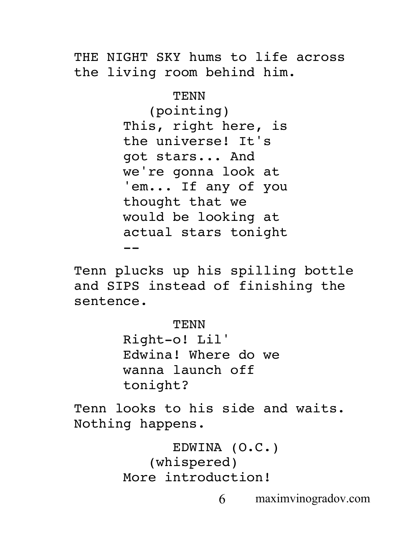THE NIGHT SKY hums to life across the living room behind him.

> TENN (pointing) This, right here, is the universe! It's got stars... And we're gonna look at 'em... If any of you thought that we would be looking at actual stars tonight --

Tenn plucks up his spilling bottle and SIPS instead of finishing the sentence.

TENN

Right-o! Lil' Edwina! Where do we wanna launch off tonight?

Tenn looks to his side and waits. Nothing happens.

```
EDWINA (O.C.)
   (whispered)
More introduction!
```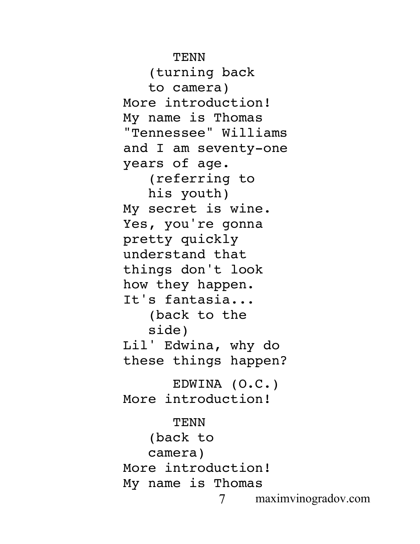TENN

(turning back to camera) More introduction! My name is Thomas "Tennessee" Williams and I am seventy-one years of age. (referring to his youth) My secret is wine. Yes, you're gonna pretty quickly understand that things don't look how they happen. It's fantasia... (back to the side) Lil' Edwina, why do these things happen? EDWINA (O.C.) More introduction! TENN (back to camera) More introduction! My name is Thomas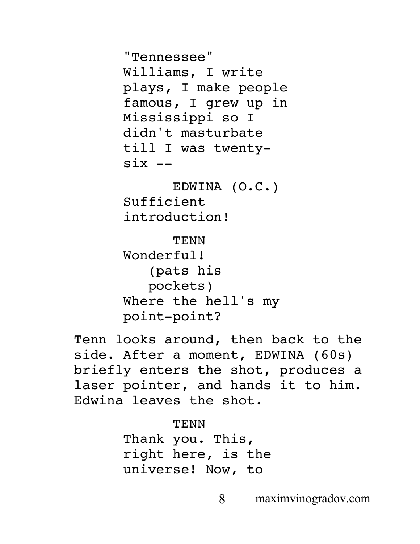"Tennessee" Williams, I write plays, I make people famous, I grew up in Mississippi so I didn't masturbate till I was twenty $six$   $--$ 

EDWINA (O.C.) Sufficient introduction!

TENN Wonderful! (pats his pockets) Where the hell's my point-point?

Tenn looks around, then back to the side. After a moment, EDWINA (60s) briefly enters the shot, produces a laser pointer, and hands it to him. Edwina leaves the shot.

> **TENN** Thank you. This, right here, is the universe! Now, to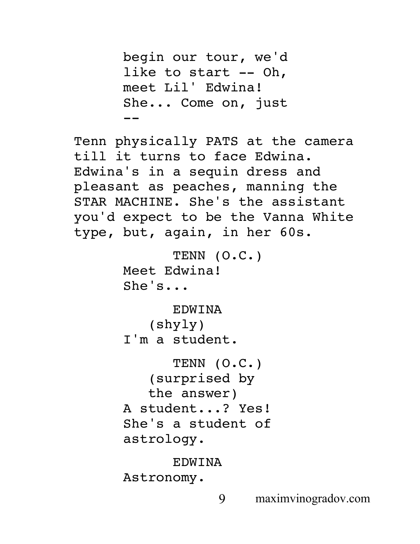```
begin our tour, we'd 
      like to start -- Oh, 
      meet Lil' Edwina! 
      She... Come on, just 
      --
Tenn physically PATS at the camera 
till it turns to face Edwina. 
Edwina's in a sequin dress and 
pleasant as peaches, manning the 
STAR MACHINE. She's the assistant 
you'd expect to be the Vanna White 
type, but, again, in her 60s.
            TENN (O.C.)
      Meet Edwina! 
      She's...
            EDWINA
         (shyly)
      I'm a student.
            TENN (O.C.)
         (surprised by 
         the answer)
      A student...? Yes! 
      She's a student of 
      astrology.
            EDWINA
      Astronomy.
```

```
9 maximvinogradov.com
```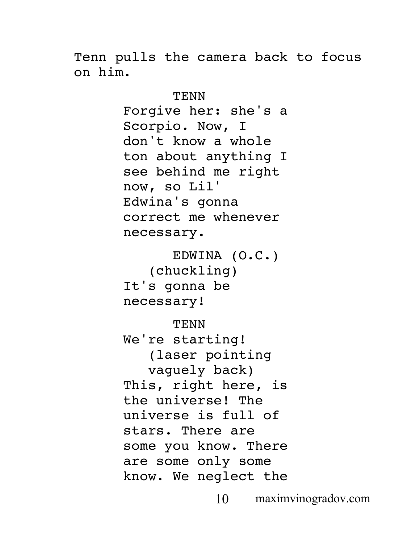Tenn pulls the camera back to focus on him.

> TENN Forgive her: she's a Scorpio. Now, I don't know a whole ton about anything I see behind me right now, so Lil' Edwina's gonna correct me whenever necessary.

EDWINA (O.C.) (chuckling) It's gonna be necessary!

TENN

We're starting! (laser pointing vaguely back) This, right here, is the universe! The universe is full of stars. There are some you know. There are some only some know. We neglect the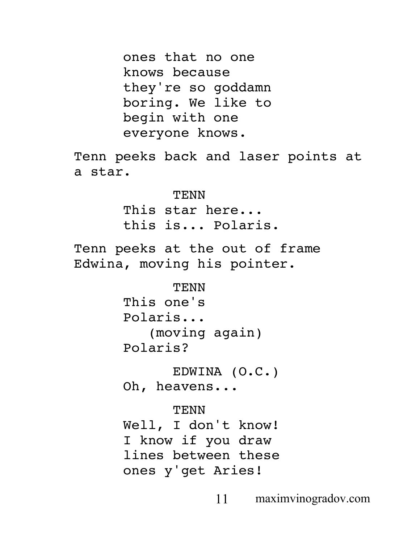ones that no one knows because they're so goddamn boring. We like to begin with one everyone knows. Tenn peeks back and laser points at a star. **TENN** This star here... this is... Polaris. Tenn peeks at the out of frame Edwina, moving his pointer. **TENN** This one's Polaris... (moving again) Polaris? EDWINA (O.C.) Oh, heavens... TENN Well, I don't know! I know if you draw lines between these ones y'get Aries!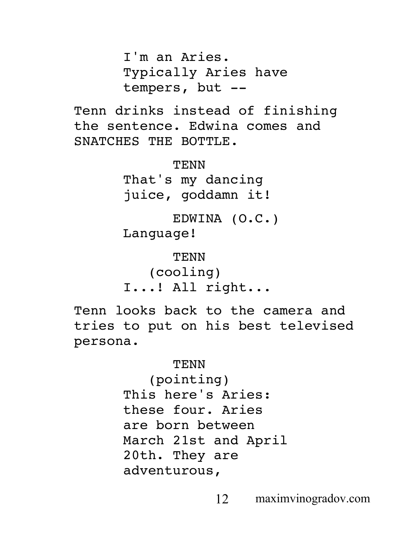I'm an Aries. Typically Aries have tempers, but --

Tenn drinks instead of finishing the sentence. Edwina comes and SNATCHES THE BOTTLE.

> TENN That's my dancing juice, goddamn it!

EDWINA (O.C.) Language!

TENN (cooling) I...! All right...

Tenn looks back to the camera and tries to put on his best televised persona.

#### TENN

(pointing) This here's Aries: these four. Aries are born between March 21st and April 20th. They are adventurous,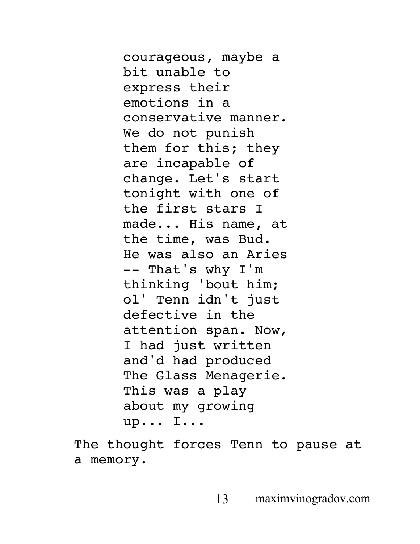courageous, maybe a bit unable to express their emotions in a conservative manner. We do not punish them for this; they are incapable of change. Let's start tonight with one of the first stars I made... His name, at the time, was Bud. He was also an Aries -- That's why I'm thinking 'bout him; ol' Tenn idn't just defective in the attention span. Now, I had just written and'd had produced The Glass Menagerie. This was a play about my growing up... I...

The thought forces Tenn to pause at a memory.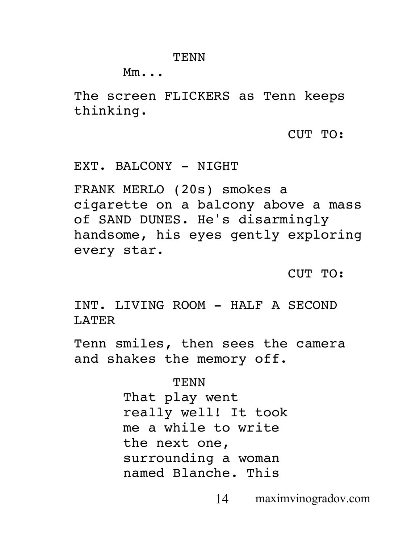#### TENN

Mm...

The screen FLICKERS as Tenn keeps thinking.

CUT TO:

EXT. BALCONY - NIGHT

FRANK MERLO (20s) smokes a cigarette on a balcony above a mass of SAND DUNES. He's disarmingly handsome, his eyes gently exploring every star.

CUT TO:

INT. LIVING ROOM - HALF A SECOND LATER

Tenn smiles, then sees the camera and shakes the memory off.

> TENN That play went really well! It took me a while to write the next one, surrounding a woman named Blanche. This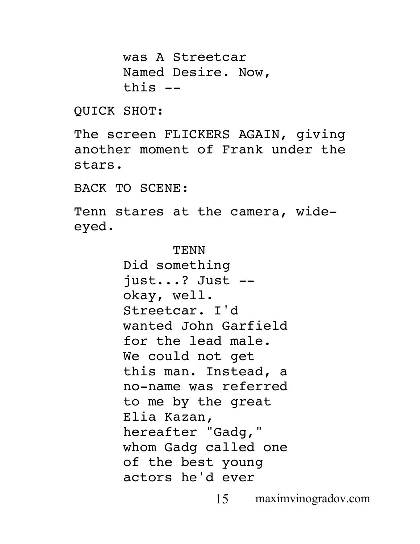was A Streetcar Named Desire. Now, this --

QUICK SHOT:

The screen FLICKERS AGAIN, giving another moment of Frank under the stars.

BACK TO SCENE:

Tenn stares at the camera, wideeyed.

> TENN Did something just...? Just - okay, well. Streetcar. I'd wanted John Garfield for the lead male. We could not get this man. Instead, a no-name was referred to me by the great Elia Kazan, hereafter "Gadg," whom Gadg called one of the best young actors he'd ever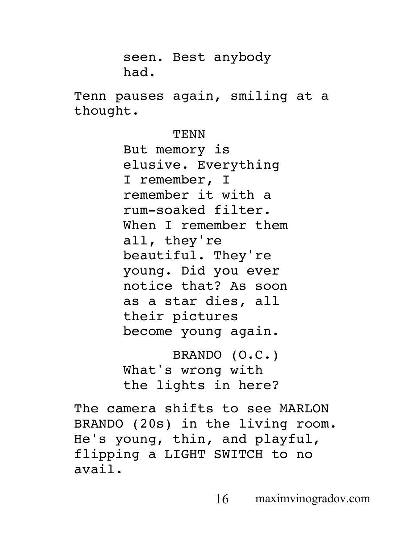seen. Best anybody had.

Tenn pauses again, smiling at a thought.

TENN

But memory is elusive. Everything I remember, I remember it with a rum-soaked filter. When I remember them all, they're beautiful. They're young. Did you ever notice that? As soon as a star dies, all their pictures become young again.

BRANDO (O.C.) What's wrong with the lights in here?

The camera shifts to see MARLON BRANDO (20s) in the living room. He's young, thin, and playful, flipping a LIGHT SWITCH to no avail.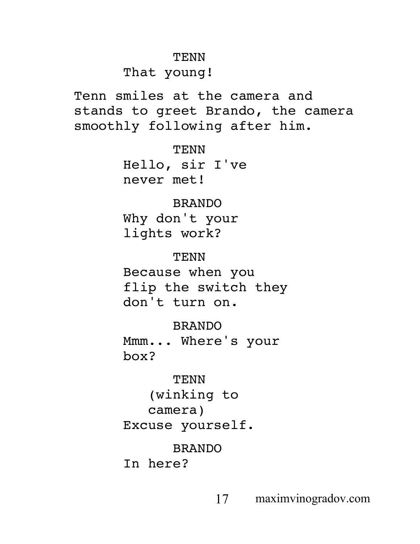#### TENN

# That young!

Tenn smiles at the camera and stands to greet Brando, the camera smoothly following after him.

> TENN Hello, sir I've never met!

# BRANDO

Why don't your lights work?

TENN Because when you flip the switch they don't turn on.

BRANDO

Mmm... Where's your box?

TENN (winking to camera) Excuse yourself.

# BRANDO

In here?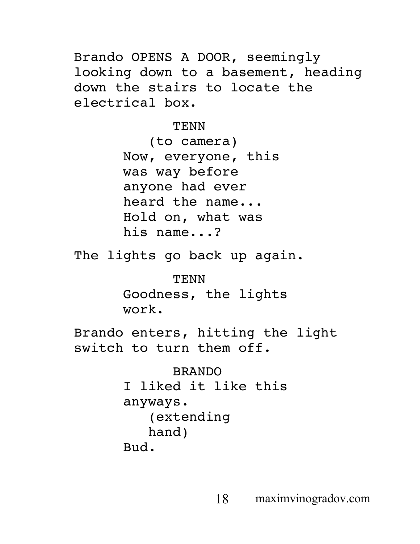Brando OPENS A DOOR, seemingly looking down to a basement, heading down the stairs to locate the electrical box.

**TENN** 

(to camera) Now, everyone, this was way before anyone had ever heard the name... Hold on, what was his name...?

The lights go back up again.

TENN Goodness, the lights work.

Brando enters, hitting the light switch to turn them off.

> BRANDO I liked it like this anyways. (extending hand) Bud.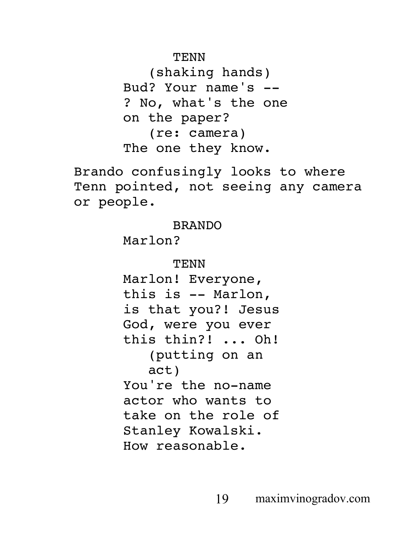# TENN

(shaking hands) Bud? Your name's -- ? No, what's the one on the paper? (re: camera) The one they know.

Brando confusingly looks to where Tenn pointed, not seeing any camera or people.

# BRANDO

Marlon?

# TENN Marlon! Everyone, this is -- Marlon, is that you?! Jesus God, were you ever this thin?! ... Oh! (putting on an act) You're the no-name actor who wants to take on the role of Stanley Kowalski. How reasonable.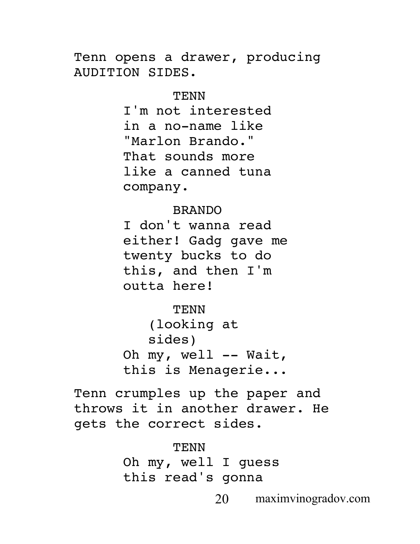Tenn opens a drawer, producing AUDITION SIDES.

#### TENN

I'm not interested in a no-name like "Marlon Brando." That sounds more like a canned tuna company.

#### BRANDO

I don't wanna read either! Gadg gave me twenty bucks to do this, and then I'm outta here!

TENN (looking at sides) Oh my, well -- Wait, this is Menagerie...

Tenn crumples up the paper and throws it in another drawer. He gets the correct sides.

> TENN Oh my, well I guess this read's gonna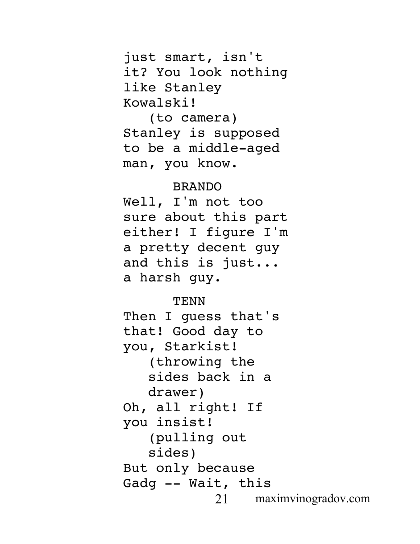just smart, isn't it? You look nothing like Stanley Kowalski!

(to camera) Stanley is supposed to be a middle-aged man, you know.

# BRANDO

Well, I'm not too sure about this part either! I figure I'm a pretty decent guy and this is just... a harsh guy.

## **TENN**

21 maximvinogradov.com Then I guess that's that! Good day to you, Starkist! (throwing the sides back in a drawer) Oh, all right! If you insist! (pulling out sides) But only because Gadg -- Wait, this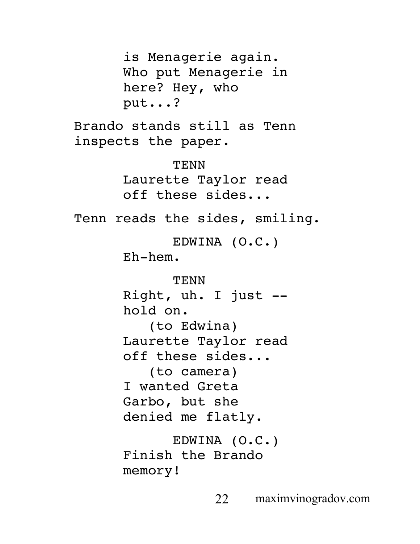is Menagerie again. Who put Menagerie in here? Hey, who put...? Brando stands still as Tenn inspects the paper. TENN Laurette Taylor read off these sides... Tenn reads the sides, smiling. EDWINA (O.C.) Eh-hem. TENN Right, uh. I just - hold on. (to Edwina) Laurette Taylor read off these sides... (to camera) I wanted Greta Garbo, but she denied me flatly. EDWINA (O.C.) Finish the Brando memory!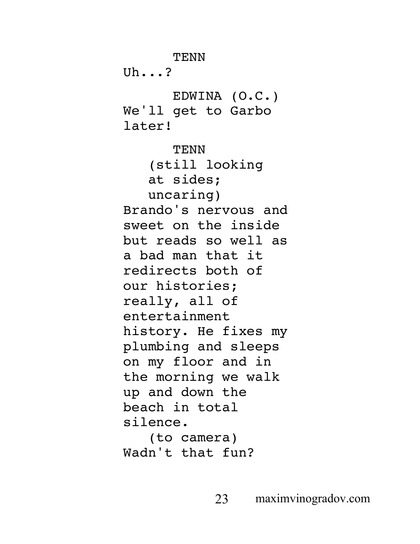TENN  $Uh$ ...? EDWINA (O.C.) We'll get to Garbo later! TENN (still looking at sides; uncaring) Brando's nervous and sweet on the inside but reads so well as a bad man that it redirects both of our histories; really, all of entertainment history. He fixes my plumbing and sleeps on my floor and in the morning we walk up and down the beach in total silence. (to camera)

Wadn't that fun?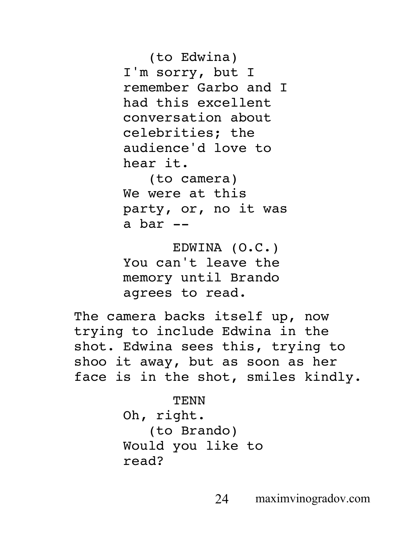(to Edwina) I'm sorry, but I remember Garbo and I had this excellent conversation about celebrities; the audience'd love to hear it.

(to camera) We were at this party, or, no it was a bar --

EDWINA (O.C.) You can't leave the memory until Brando agrees to read.

The camera backs itself up, now trying to include Edwina in the shot. Edwina sees this, trying to shoo it away, but as soon as her face is in the shot, smiles kindly.

> **TENN** Oh, right. (to Brando) Would you like to read?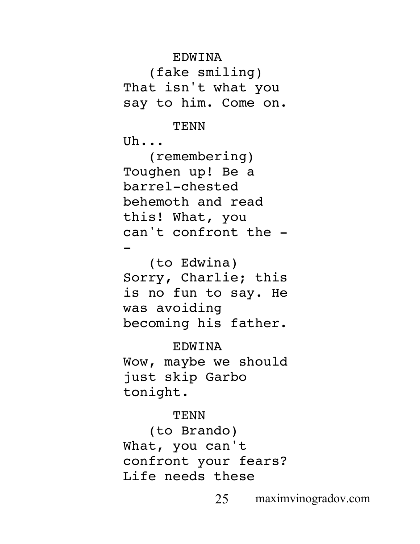EDWINA

(fake smiling) That isn't what you say to him. Come on.

## **TENN**

 $U<sub>b</sub>$ ...

(remembering) Toughen up! Be a barrel-chested behemoth and read this! What, you can't confront the - -

(to Edwina) Sorry, Charlie; this is no fun to say. He was avoiding becoming his father.

EDWINA Wow, maybe we should just skip Garbo tonight.

# **TENN**

(to Brando) What, you can't confront your fears? Life needs these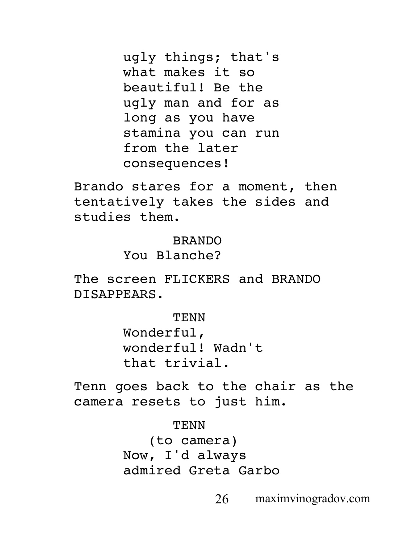ugly things; that's what makes it so beautiful! Be the ugly man and for as long as you have stamina you can run from the later consequences!

Brando stares for a moment, then tentatively takes the sides and studies them.

#### BRANDO

You Blanche?

The screen FLICKERS and BRANDO DISAPPEARS.

> TENN Wonderful, wonderful! Wadn't that trivial.

Tenn goes back to the chair as the camera resets to just him.

> TENN (to camera) Now, I'd always admired Greta Garbo